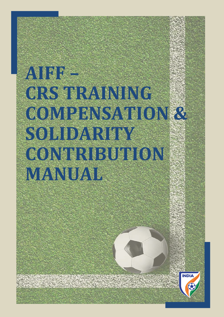# **AIFF – CRS TRAINING COMPENSATION & SOLIDARITY CONTRIBUTION MANUAL**

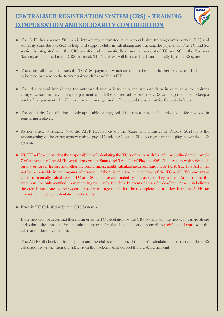- The AIFF from season 2022-23 is introducing automated system to calculate training compensation (TC) and solidarity contribution (SC) to help and support clubs in calculating and tracking the payments. The TC and SC section is integrated with the CRS transfer and automatically shows the amount of TC and SC in the Payment Section, as explained in the CRS mannual. The TC & SC will be calculated automatically by the CRS system.
- The clubs will be able to track the TC & SC payments which are due to them and further, payments which needs to be paid by them to the former trainee clubs and the AIFF.
- The idea behind introducing the automated system is to help and support clubs in calculating the training compensation, further, having the payment and all the entries online over the CRS will help the clubs to keep a track of the payments. It will make the system organised, efficient and transparent for the stakeholders.
- The Solidarity Contribution is only applicable or triggered if there is a transfer fee and/or loan fee involved in registering a player.
- As per article 3 Annexe 4 of the AIFF Regulations on the Status and Transfer of Players, 2021, it is the responsibility of the engaging/new club to pay TC and/or SC within 30 days registering the player over the CRS system.
- NOTE Please note that the responsibility of calculating the TC is of the new clubs only, as outlined under article 7 of Annexe 4 of the AIFF Regulations on the Status and Transfer of Players, 2021. The system which depends on player career history and other factors, at times, might calculate incorrect amount of TC & SC. The AIFF will not be responsible in any manner whatsoever, if there is an error in calculation of the TC & SC. We encourage clubs to manually calculate the TC and SC and use automated system as secondary source. Any error by the system will be only rectified upon receiving request by the club. In event of a transfer deadline, if the club believes the calculation done by the system is wrong, we urge the club to first complete the transfer, later, the AIFF can amend the TC & SC calculation in the CRS.
- Error in TC Calculation by the CRS System –

If the new club believes that there is an error in TC calculation by the CRS system, still the new club can go ahead and submit the transfer. Post submitting the transfer, the club shall send an email to [psd@the-aiff.com](mailto:psd@the-aiff.com) with the calculation done by the club.

The AIFF will check both the system and the club's calculation. If the club's calculation is correct and the CRS calculation is wrong, then the AIFF from the backend shall correct the TC & SC amount.

# **CENTRALISED REGISTRATION SYSTEM (CRS) – TRAINING COMPENSATION AND SOLIDARITY CONTRIBUTION**

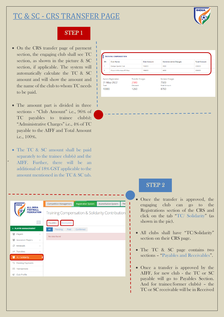# TC & SC - CRS TRANSFER PAGE



#### STEP 1

- On the CRS transfer page of payment section, the engaging club shall see TC section, as shown in the picture & SC section, if applicable. The system will automatically calculate the TC & SC amount and will show the amount and the name of the club to whom TC needs to be paid.
- The amount part is divided in three sections - "Club Amount" i.e., 96% of TC payables to trainee club(s); "Administrative Charges" i.e., 4% of TC payable to the AIFF and Total Amount i.e., 100%.
- The TC & SC amount shall be paid separately to the trainee club(s) and the AIFF. Further, there will be an additional of 18% GST applicable to the amount mentioned in the TC & SC tab.

 $\mathbf{u}$ 

| <b>INDIA</b>                                             |       | <b>Competition Management</b> |             | <b>Registration System</b> | Accreditation System                            | <b>TW</b> |
|----------------------------------------------------------|-------|-------------------------------|-------------|----------------------------|-------------------------------------------------|-----------|
| <b>ALL INDIA</b><br><b>FOOTBALL</b><br><b>FEDERATION</b> |       |                               |             |                            | Training Compensation & Solidarity Contribution |           |
|                                                          |       | Payables                      | Receivables |                            |                                                 |           |
| » PLAYER MANAGEMENT                                      |       | All<br>Pending                | Paid        | Confirmed                  |                                                 |           |
| 學<br>Players                                             | ∢     | No data found                 |             |                            |                                                 |           |
| <b>Grassroot Players</b><br>學                            | $\,<$ |                               |             |                            |                                                 |           |
| Renewals<br>a.                                           | ₹     |                               |             |                            |                                                 |           |
| $\rightleftarrows$ Transfers                             | ≺     |                               |             |                            |                                                 |           |
| TC / Solidarity<br>РG,                                   |       |                               |             |                            |                                                 |           |
| % Pending Payments                                       |       |                               |             |                            |                                                 |           |
| Transactions<br>$\bullet$                                |       |                               |             |                            |                                                 |           |
| Club Profile<br>ø                                        |       |                               |             |                            |                                                 |           |

| Dempo Sports Club<br>1<br>196000<br>4000<br>200000<br>2<br>Churchill Brothers FC Goa<br>196000<br>4000<br>200000<br><b>Current Registration</b><br><b>Transfer Charges</b><br>Renewal Charges<br>31-May-2022<br>7500<br>2500<br>Total<br>Discount<br><b>Final Amount</b><br>10000<br>1250<br>8750 |
|---------------------------------------------------------------------------------------------------------------------------------------------------------------------------------------------------------------------------------------------------------------------------------------------------|
|                                                                                                                                                                                                                                                                                                   |
|                                                                                                                                                                                                                                                                                                   |
|                                                                                                                                                                                                                                                                                                   |
|                                                                                                                                                                                                                                                                                                   |
|                                                                                                                                                                                                                                                                                                   |
|                                                                                                                                                                                                                                                                                                   |
|                                                                                                                                                                                                                                                                                                   |
|                                                                                                                                                                                                                                                                                                   |
|                                                                                                                                                                                                                                                                                                   |
|                                                                                                                                                                                                                                                                                                   |
|                                                                                                                                                                                                                                                                                                   |
|                                                                                                                                                                                                                                                                                                   |
|                                                                                                                                                                                                                                                                                                   |
|                                                                                                                                                                                                                                                                                                   |
|                                                                                                                                                                                                                                                                                                   |
|                                                                                                                                                                                                                                                                                                   |
|                                                                                                                                                                                                                                                                                                   |
|                                                                                                                                                                                                                                                                                                   |
|                                                                                                                                                                                                                                                                                                   |
|                                                                                                                                                                                                                                                                                                   |
|                                                                                                                                                                                                                                                                                                   |
|                                                                                                                                                                                                                                                                                                   |
|                                                                                                                                                                                                                                                                                                   |
|                                                                                                                                                                                                                                                                                                   |
|                                                                                                                                                                                                                                                                                                   |
|                                                                                                                                                                                                                                                                                                   |
|                                                                                                                                                                                                                                                                                                   |
|                                                                                                                                                                                                                                                                                                   |
|                                                                                                                                                                                                                                                                                                   |
|                                                                                                                                                                                                                                                                                                   |
|                                                                                                                                                                                                                                                                                                   |
|                                                                                                                                                                                                                                                                                                   |
|                                                                                                                                                                                                                                                                                                   |
|                                                                                                                                                                                                                                                                                                   |
|                                                                                                                                                                                                                                                                                                   |
|                                                                                                                                                                                                                                                                                                   |
|                                                                                                                                                                                                                                                                                                   |
|                                                                                                                                                                                                                                                                                                   |
|                                                                                                                                                                                                                                                                                                   |
|                                                                                                                                                                                                                                                                                                   |
|                                                                                                                                                                                                                                                                                                   |
|                                                                                                                                                                                                                                                                                                   |
|                                                                                                                                                                                                                                                                                                   |
|                                                                                                                                                                                                                                                                                                   |
|                                                                                                                                                                                                                                                                                                   |
|                                                                                                                                                                                                                                                                                                   |
|                                                                                                                                                                                                                                                                                                   |
|                                                                                                                                                                                                                                                                                                   |
|                                                                                                                                                                                                                                                                                                   |
| <b>STEP 2</b>                                                                                                                                                                                                                                                                                     |
|                                                                                                                                                                                                                                                                                                   |
|                                                                                                                                                                                                                                                                                                   |
|                                                                                                                                                                                                                                                                                                   |
|                                                                                                                                                                                                                                                                                                   |
|                                                                                                                                                                                                                                                                                                   |
| • Once the transfer is approved, the                                                                                                                                                                                                                                                              |

click on the tab "TC/ Solidarity" (as

shown in the pic).

• All clubs shall have "TC/Solidarity" section on their CRS page.

• The TC & SC page contains two sections – "Payables and Receivables".

• Once a transfer is approved by the AIFF, for new club - the TC or SC payable will go to Payables Section. And for trainee/former club(s) – the TC or SC receivable will be in Received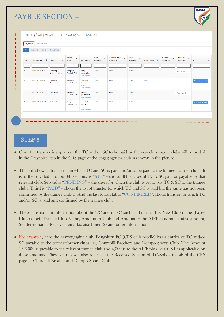# PAYBLE SECTION –



#### STEP 3

- Once the transfer is approved, the TC and/or SC to be paid by the new club (payee club) will be added in the "Payables" tab in the CRS page of the engaging/new club, as shown in the picture.
- This will show all transfer(s) in which TC and SC is paid and/or to be paid to the trainee/ former clubs. It is further divided into four (4) sections as "ALL" – shows all the cases of TC & SC paid or payable by that relevant club. Second is "PENDING" – the cases for which the club is yet to pay TC & SC to the trainee clubs. Third is "PAID" – shows the list of transfer for which TC and SC is paid but the same has not been confirmed by the trainee club(s). And the last fourth tab is "CONFIMRED", shows transfer for which TC and/or SC is paid and confirmed by the trainee club.
- These tabs contain information about the TC and/or SC such as Transfer ID, New Club name (Payee Club name), Trainee Club Name, Amount to Club and Amount to the AIFF as administrative amount, Sender remarks, Receiver remarks, attachment(s) and other information.
- For example, here the new/engaging club, Bengaluru FC (CRS club profile) has 4 entries of TC and/or

SC payable to the trainee/former clubs i.e., Churchill Brothers and Dempo Sports Club. The Amount 1,96,000 is payable to the relevant trainee club and 4,000 is to the AIFF plus 18% GST is applicable on these amounts. These entries will also reflect in the Received Section of TC/Solidarity tab of the CRS page of Churchill Brother and Dempo Sports Club.

| Pavables  | Receivables             |                          |                                   |                                                               |                                    |                                      |                                      |                   |                                       |                          |                       |
|-----------|-------------------------|--------------------------|-----------------------------------|---------------------------------------------------------------|------------------------------------|--------------------------------------|--------------------------------------|-------------------|---------------------------------------|--------------------------|-----------------------|
| All       | Pending<br>Paid         | Confirmed                |                                   |                                                               |                                    |                                      |                                      |                   |                                       |                          |                       |
| $SN \div$ | ÷<br><b>Transfer Id</b> | ÷<br><b>Type</b>         | From<br>٠<br>Club                 | To Club $\div$                                                | Club<br>$\ddot{\bullet}$<br>Amount | Administrative $\epsilon$<br>Charges | <b>Total</b><br>$\ddot{ }$<br>Amount | Attachment $\div$ | Sender<br>$\ddot{\bullet}$<br>Remarks | Receiver<br>÷<br>Remarks | #                     |
|           |                         |                          |                                   |                                                               |                                    |                                      |                                      |                   |                                       |                          |                       |
|           | 2022MAYTR38791          | Training<br>Compensation | Bengaluru<br>Football Club        | Dempo<br>Sports Club<br><b>Bank Details</b>                   | 196000                             | 4000                                 | 200000                               |                   |                                       | Received                 |                       |
| 2         | 2022MAYTR38791          | Training<br>Compensation | Bengaluru<br><b>Football Club</b> | Churchill<br><b>Brothers FC</b><br>Goa<br><b>Bank Details</b> | 196000                             | 4000                                 | 200000                               | View              |                                       |                          | <b>Add Attachment</b> |
| В         | 2022MAYTR38791          | Solidarity               | Bengaluru<br>Football Club        | Dempo<br>Sports Club<br><b>Bank Details</b>                   | 196000                             | 4000                                 | 200000                               |                   |                                       | Received                 |                       |
| 4         | 2022MAYTR38791          | Solidarity               | Bengaluru<br>Football Club        | Churchill<br><b>Brothers FC</b><br>Goa<br><b>Bank Details</b> | 196000                             | 4000                                 | 200000                               |                   |                                       |                          | <b>Add Attachment</b> |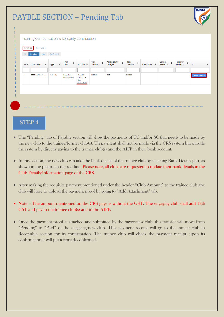# PAYBLE SECTION – Pending Tab



| $SN \div$ | ÷<br><b>Transfer Id</b> | $\div$<br><b>Type</b> | From<br>÷<br>Club          | To Club $\div$                                                | Club<br>÷<br>Amount | Administrative $\div$<br>Charges | <b>Total</b><br>÷<br>Amount | Attachment ≑ | Sender<br>$\ddot{\bullet}$<br>Remarks | Receiver<br>÷<br>Remarks |                       |
|-----------|-------------------------|-----------------------|----------------------------|---------------------------------------------------------------|---------------------|----------------------------------|-----------------------------|--------------|---------------------------------------|--------------------------|-----------------------|
|           |                         |                       |                            |                                                               |                     |                                  |                             |              |                                       |                          |                       |
|           | 2022MAYTR38791          | Solidarity            | Bengaluru<br>Football Club | Churchill<br><b>Brothers FC</b><br>Goa<br><b>Bank Details</b> | 196000              | 4000                             | 200000                      |              |                                       |                          | <b>Add Attachment</b> |

#### STEP 4

- The "Pending" tab of Payable section will show the payments of TC and/or SC that needs to be made by the new club to the trainee/former club(s). Th payment shall not be made via the CRS system but outside the system by directly paying to the trainee club(s) and the AIFF in their bank account.
- In this section, the new club can take the bank details of the trainee club by selecting Bank Details part, as shown in the picture as the red line. Please note, all clubs are requested to update their bank details in the Club Details/Information page of the CRS.
- After making the requisite payment mentioned under the header "Club Amount" to the trainee club, the club will have to upload the payment proof by going to "Add Attachment" tab.
- Note The amount mentioned on the CRS page is without the GST. The engaging club shall add 18% GST and pay to the trainee club(s) and to the AIFF.
- Once the payment proof is attached and submitted by the payee/new club, this transfer will move from "Pending" to "Paid" of the engaging/new club. This payment receipt will go to the trainee club in Receivable section for its confirmation. The trainee club will check the payment receipt, upon its confirmation it will put a remark confirmed.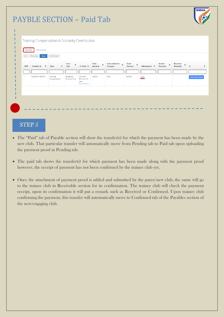# PAYBLE SECTION – Paid Tab



| All       | Paid<br>Pending | Confirmed                |                            |                                                               |                                    |                                  |                      |                   |                        |                                             |                       |
|-----------|-----------------|--------------------------|----------------------------|---------------------------------------------------------------|------------------------------------|----------------------------------|----------------------|-------------------|------------------------|---------------------------------------------|-----------------------|
| $SN \div$ |                 | $\div$<br><b>Type</b>    | From<br>٠<br>Club          | To Club $\div$                                                | Club<br>$\ddot{\bullet}$<br>Amount | Administrative $\div$<br>Charges | Total<br>÷<br>Amount | Attachment $\div$ | Sender<br>٠<br>Remarks | Receiver<br>$\ddot{\phantom{1}}$<br>Remarks | #                     |
|           |                 |                          |                            |                                                               |                                    |                                  |                      |                   |                        |                                             |                       |
| -1        | 2022MAYTR38791  | Training<br>Compensation | Bengaluru<br>Football Club | Churchill<br><b>Brothers FC</b><br>Goa<br><b>Bank Details</b> | 196000                             | 4000                             | 200000               | View              |                        |                                             | <b>Add Attachment</b> |
|           |                 |                          |                            |                                                               |                                    |                                  |                      |                   |                        |                                             |                       |

#### STEP<sub>5</sub>

- The "Paid" tab of Payable section will show the transfer(s) for which the payment has been made by the new club. That particular transfer will automatically move from Pending tab to Paid tab upon uploading the payment proof in Pending tab.
- The paid tab shows the transfer(s) for which payment has been made along with the payment proof however, the receipt of payment has not been confirmed by the trainee club yet.
- Once the attachment of payment proof is added and submitted by the payee/new club, the same will go to the trainee club in Receivable section for its confirmation. The trainee club will check the payment receipt, upon its confirmation it will put a remark such as Received or Confirmed. Upon trainee club confirming the payment, this transfer will automatically move to Confirmed tab of the Payables section of the new/engaging club.

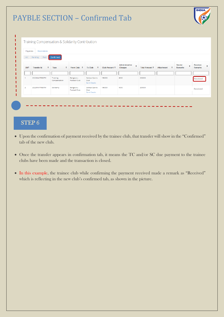# PAYBLE SECTION – Confirmed Tab



### STEP 6

ׇ֬֕

i<br>I

- Upon the confirmation of payment received by the trainee club, that transfer will show in the "Confirmed" tab of the new club.
- Once the transfer appears in confirmation tab, it means the TC and/or SC due payment to the trainee clubs have been made and the transaction is closed.
- In this example, the trainee club while confirming the payment received made a remark as "Received" which is reflecting in the new club's confirmed tab, as shown in the picture.



| Payables       | Receivables                  |                          |                                   |                                             |               |                                |                |                        |                               |                            |
|----------------|------------------------------|--------------------------|-----------------------------------|---------------------------------------------|---------------|--------------------------------|----------------|------------------------|-------------------------------|----------------------------|
| All            | Paid<br>Pending              | <b>Confirmed</b>         |                                   |                                             |               |                                |                |                        |                               |                            |
| $SN \div$      | $\div$<br><b>Transfer Id</b> | ÷<br>Type                | From Club $\div$                  | <b>To Club</b><br>$\Rightarrow$             | Club Amount ≑ | Administrative<br>٠<br>Charges | Total Amount ≑ | ٠<br><b>Attachment</b> | Sender<br>÷<br><b>Remarks</b> | Receiver<br><b>Remarks</b> |
|                |                              |                          |                                   |                                             |               |                                |                |                        |                               |                            |
|                | 2022MAYTR38791               | Training<br>Compensation | Bengaluru<br>Football Club        | Dempo Sports<br>Club<br><b>Bank Details</b> | 196000        | 4000                           | 200000         |                        |                               | Received                   |
| $\overline{2}$ | 2022MAYTR38791               | Solidarity               | Bengaluru<br><b>Football Club</b> | Dempo Sports<br>Club<br><b>Bank Details</b> | 196000        | 4000                           | 200000         |                        |                               | Received                   |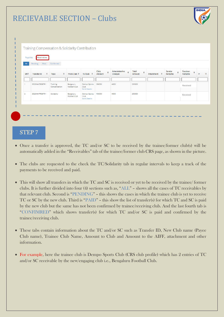# RECIEVABLE SECTION – Clubs



#### STEP 7

- Once a transfer is approved, the TC and/or SC to be received by the trainee/former club(s) will be automatically added in the "Receivables" tab of the trainee/former club CRS page, as shown in the picture.
- The clubs are requested to the check the TC/Solidarity tab in regular intervals to keep a track of the payments to be received and paid.
- This will show all transfers in which the TC and SC is received or yet to be received by the trainee/ former clubs. It is further divided into four (4) sections such as, "ALL" – shows all the cases of TC receivables by that relevant club. Second is "PENDING" – this shows the cases in which the trainee club is yet to receive TC or SC by the new club. Third is "PAID" – this show the list of transfer(s) for which TC and SC is paid by the new club but the same has not been confirmed by trainee/receiving club. And the last fourth tab is "CONFIMRED" which shows transfer(s) for which TC and/or SC is paid and confirmed by the trainee/receiving club.
- These tabs contain information about the TC and/or SC such as Transfer ID, New Club name (Payee Club name), Trainee Club Name, Amount to Club and Amount to the AIFF, attachment and other

#### information.

• For example, here the trainee club is Dempo Sports Club (CRS club profile) which has 2 entries of TC and/or SC receivable by the new/engaging club i.e., Bengaluru Football Club.

|                |                         |                          |                                   | Training Compensation & Solidarity Contribution |                                        |                                               |                      |              |                        |                          |   |
|----------------|-------------------------|--------------------------|-----------------------------------|-------------------------------------------------|----------------------------------------|-----------------------------------------------|----------------------|--------------|------------------------|--------------------------|---|
|                |                         |                          |                                   |                                                 |                                        |                                               |                      |              |                        |                          |   |
| Payables       | Receivables             |                          |                                   |                                                 |                                        |                                               |                      |              |                        |                          |   |
| All            | Pending                 | Paid Confirmed           |                                   |                                                 |                                        |                                               |                      |              |                        |                          |   |
|                |                         |                          |                                   |                                                 |                                        |                                               |                      |              |                        |                          |   |
| $SN \div$      | ÷<br><b>Transfer Id</b> | ÷<br>Type                | From Club $\div$                  | To Club $\div$                                  | Club<br>$\ddot{\phantom{1}}$<br>Amount | Administrative<br>$\ddot{\bullet}$<br>Charges | Total<br>٠<br>Amount | Attachment ≑ | Sender<br>÷<br>Remarks | Receiver<br>٠<br>Remarks | # |
|                |                         |                          |                                   |                                                 |                                        |                                               |                      |              |                        |                          |   |
|                |                         |                          |                                   |                                                 |                                        |                                               |                      |              |                        |                          |   |
| -1             | 2022MAYTR38791          | Training<br>Compensation | Bengaluru<br><b>Football Club</b> | Dempo Sports<br>Club                            | 196000                                 | 4000                                          | 200000               |              |                        | Received                 |   |
|                |                         |                          |                                   | <b>Bank Details</b>                             |                                        |                                               |                      |              |                        |                          |   |
| $\overline{2}$ | 2022MAYTR38791          | Solidarity               | Bengaluru                         | Dempo Sports                                    | 196000                                 | 4000                                          | 200000               |              |                        | Received                 |   |
|                |                         |                          | Football Club                     | Club<br><b>Bank Details</b>                     |                                        |                                               |                      |              |                        |                          |   |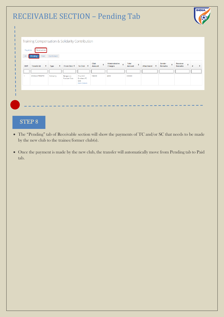|           | Training Compensation & Solidarity Contribution |            |                                   |                                                               |                     |                                |                      |                   |                               |                                 |  |
|-----------|-------------------------------------------------|------------|-----------------------------------|---------------------------------------------------------------|---------------------|--------------------------------|----------------------|-------------------|-------------------------------|---------------------------------|--|
|           |                                                 |            |                                   |                                                               |                     |                                |                      |                   |                               |                                 |  |
| Payables  | Receivables                                     |            |                                   |                                                               |                     |                                |                      |                   |                               |                                 |  |
| All       | Pending<br>Paid                                 | Confirmed  |                                   |                                                               |                     |                                |                      |                   |                               |                                 |  |
| $SN \div$ | ÷<br><b>Transfer Id</b>                         | ÷<br>Type  | From Club $\div$                  | To Club $\div$                                                | Club<br>٠<br>Amount | Administrative<br>÷<br>Charges | Total<br>÷<br>Amount | Attachment $\div$ | Sender<br>٠<br><b>Remarks</b> | Receiver<br>÷<br><b>Remarks</b> |  |
|           |                                                 |            |                                   |                                                               |                     |                                |                      |                   |                               |                                 |  |
|           | 2022MAYTR38791                                  | Solidarity | Bengaluru<br><b>Football Club</b> | Churchill<br><b>Brothers FC</b><br>Goa<br><b>Bank Details</b> | 196000              | 4000                           | 200000               |                   |                               |                                 |  |
|           |                                                 |            |                                   |                                                               |                     |                                |                      |                   |                               |                                 |  |

## STEP 8

- The "Pending" tab of Receivable section will show the payments of TC and/or SC that needs to be made by the new club to the trainee/former club(s).
- Once the payment is made by the new club, the transfer will automatically move from Pending tab to Paid tab.

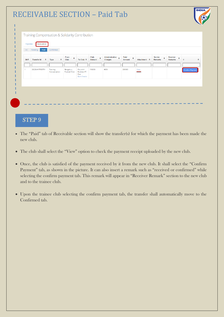# RECEIVABLE SECTION – Paid Tab



| $SN \div$ | $\div$<br><b>Transfer Id</b> | ÷<br>Type                | From<br>÷<br>Club          | To Club $\div$                                                | Club<br>$\ddot{\bullet}$<br>Amount | Administrative $\div$<br>Charges | Total<br>$\ddot{ }$<br>Amount | Attachment ≑ | Sender<br>÷<br>Remarks | Receiver<br>$\Rightarrow$<br>Remarks | #                      |
|-----------|------------------------------|--------------------------|----------------------------|---------------------------------------------------------------|------------------------------------|----------------------------------|-------------------------------|--------------|------------------------|--------------------------------------|------------------------|
|           |                              |                          |                            |                                                               |                                    |                                  |                               |              |                        |                                      |                        |
|           | 2022MAYTR38791               | Training<br>Compensation | Bengaluru<br>Football Club | Churchill<br><b>Brothers FC</b><br>Goa<br><b>Bank Details</b> | 196000                             | 4000                             | 200000                        | View         |                        |                                      | <b>Confirm Payment</b> |

#### STEP 9

- The "Paid" tab of Receivable section will show the transfer(s) for which the payment has been made the new club.
- The club shall select the "View" option to check the payment receipt uploaded by the new club.
- Once, the club is satisfied of the payment received by it from the new club. It shall select the "Confirm Payment" tab, as shown in the picture. It can also insert a remark such as "received or confirmed" while selecting the confirm payment tab. This remark will appear in "Receiver Remark" section to the new club and to the trainee club.
- Upon the trainee club selecting the confirm payment tab, the transfer shall automatically move to the Confirmed tab.